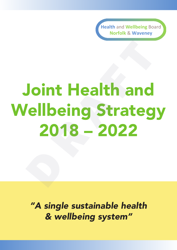**Health** and **Wellbeing** Board **Norfolk** & **Waveney**

### Joint Health and Wellbeing Strategy 2018 – 2022 Joint Health and<br>
Vellbeing Strateg<br>
2018 – 2022<br>
2018 – 2022

*"A single sustainable health & wellbeing system"*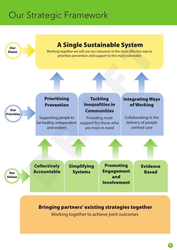### Our Strategic Framework



Working together to achieve joint outcomes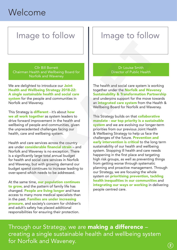### Welcome

### Image to follow  $||\cdot||$  Image to follow

Cllr Bill Borrett Chairman Health and Wellbeing Board for Norfolk and Waveney

We are delighted to introduce our Joint Health and Wellbeing Strategy 2018-22: A single sustainable health and social care system for the people and communities in Norfolk and Waveney.

This Strategy is **different** - it's about how we all work together as system leaders to drive forward improvement in the health and wellbeing of people and communities, given the unprecedented challenges facing our health, care and wellbeing system.

Health and care services across the country are under considerable financial strain – and Norfolk and Waveney is no exception. There is a significantly large total annual budget for health and social care services in Norfolk and Waveney, but with growing demand our budget spend continues to increase leading to over-spend which needs to be addressed.

At the same time, our population continues to grow, and the pattern of family life has changed. People are living longer and have access to many more medical specialists than in the past. Families are under increasing pressure, and society's concern for children's and adult's safety has placed additional responsibilities for ensuring their protection.

Dr Louise Smith Director of Public Health

The health and social care system is working together under the Norfolk and Waveney Sustainability & Transformation Partnership and underpins support for the move towards an **integrated care system** from the Health & Wellbeing Board for Norfolk and Waveney.

This Strategy builds on that **collaborative** mandate - our top priority is a sustainable system and we are evolving our longer-term priorities from our previous Joint Health & Wellbeing Strategy to help us face the challenges of the future. Prevention and early intervention is critical to the long term sustainability of our health and wellbeing system. Stopping ill health and care needs happening in the first place and targeting high risk groups, as well as preventing things from getting worse through systematic planning and proactive management. Through our Strategy, we are focusing the whole system on **prioritising prevention, tackling** health inequalities in our communities and integrating our ways or working in delivering people centred care. Clir Bill Borrett<br>
Norfolk and Wellbeing Board for<br>
Norfolk and Welley Board for<br>
Norfolk and Welley Strategy 2018-22:<br>
Interaction of Public Health<br>
in gradient and social care<br>
Unauted popels and communities in<br>
the peop

Through our Strategy, we are making a difference creating a single sustainable health and wellbeing system for Norfolk and Waveney.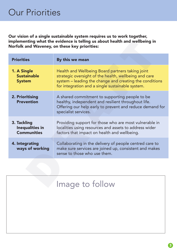Our vision of a single sustainable system requires us to work together, implementing what the evidence is telling us about health and wellbeing in Norfolk and Waveney, on these key priorities:

| implementing what the evidence is telling us about health and wellbeing in<br>Norfolk and Waveney, on these key priorities: |                                                                                                                                                                                                                          |  |
|-----------------------------------------------------------------------------------------------------------------------------|--------------------------------------------------------------------------------------------------------------------------------------------------------------------------------------------------------------------------|--|
| <b>Priorities</b>                                                                                                           | By this we mean                                                                                                                                                                                                          |  |
| 1. A Single<br><b>Sustainable</b><br><b>System</b>                                                                          | Health and Wellbeing Board partners taking joint<br>strategic oversight of the health, wellbeing and care<br>system – leading the change and creating the conditions<br>for integration and a single sustainable system. |  |
| 2. Prioritising<br><b>Prevention</b>                                                                                        | A shared commitment to supporting people to be<br>healthy, independent and resilient throughout life.<br>Offering our help early to prevent and reduce demand for<br>specialist services.                                |  |
| 3. Tackling<br><b>Inequalities in</b><br><b>Communities</b>                                                                 | Providing support for those who are most vulnerable in<br>localities using resources and assets to address wider<br>factors that impact on health and wellbeing.                                                         |  |
| 4. Integrating<br>ways of working                                                                                           | Collaborating in the delivery of people centred care to<br>make sure services are joined up, consistent and makes<br>sense to those who use them.                                                                        |  |
|                                                                                                                             |                                                                                                                                                                                                                          |  |
|                                                                                                                             | Image to follow                                                                                                                                                                                                          |  |

| Image to follow |
|-----------------|
|                 |
|                 |
|                 |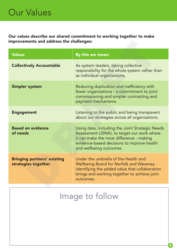Our values describe our shared commitment to working together to make improvements and address the challenges:

| improvements and address the challenges:                  |                                                                                                                                                                                                                     |  |
|-----------------------------------------------------------|---------------------------------------------------------------------------------------------------------------------------------------------------------------------------------------------------------------------|--|
| <b>Values</b>                                             | By this we mean:                                                                                                                                                                                                    |  |
| <b>Collectively Accountable</b>                           | As system leaders, taking collective<br>responsibility for the whole system rather than<br>as individual organisations.                                                                                             |  |
| <b>Simpler system</b>                                     | Reducing duplication and inefficiency with<br>fewer organisations - a commitment to joint<br>commissioning and simpler contracting and<br>payment mechanisms.                                                       |  |
| <b>Engagement</b>                                         | Listening to the public and being transparent<br>about our strategies across all organisations.                                                                                                                     |  |
| <b>Based on evidence</b><br>of needs                      | Using data, including the Joint Strategic Needs<br>Assessment (JSNA), to target our work where<br>it can make the most difference - making<br>evidence-based decisions to improve health<br>and wellbeing outcomes. |  |
| <b>Bringing partners' existing</b><br>strategies together | Under the umbrella of the Health and<br><b>Wellbeing Board for Norfolk and Waveney -</b><br>identifying the added value that collaboration<br>brings and working together to achieve joint<br>outcomes.             |  |
|                                                           |                                                                                                                                                                                                                     |  |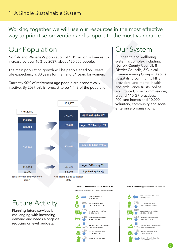Working together we will use our resources in the most effective way to prioritise prevention and support to the most vulnerable.

### Our Population

Norfolk and Waveney's population of 1.01 million is forecast to increase by over 10% by 2037, about 120,000 people.

The main population growth will be people aged 65+ years. Life expectancy is 80 years for men and 84 years for women.

Currently 90% of retirement age people are economically inactive. By 2037 this is forecast to be 1 in 3 of the population.



Our health and wellbeing system is complex including: Norfolk County Council, 8 District Councils, 5 Clinical Commissioning Groups, 3 acute hospitals, 3 community NHS providers, and mental health, and ambulance trusts, police and Police Crime Commissioner, around 110 GP practices, 400 care homes and 10,000 voluntary, community and social enterprise organisations.



### **What has happened between 2011 and 2016 What is likely to happen between 2016 and 2022**

Median age for emergency admissions has increased from 62 to 64

### Future Activity

Planning future services is challenging with increasing demand and needs alongside reducing or level budgets.



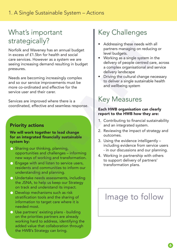### What's important strategically?

Norfolk and Waveney has an annual budget in excess of £1.5bn for health and social care services. However as a system we are seeing increasing demand resulting in budget pressures. Cally Cally Cally Cally Cally Cally Cally Cally Cally Cally and Waveney has an annual budget<br>
Even budgets.<br>
The budgets of fill the budgets of the comming increasingly complex<br>
the budgets of the delivery of people centre

Needs are becoming increasingly complex and so our service improvements must be more co-ordinated and effective for the service user and their carer.

Services are improved where there is a coordinated, effective and seamless response.

### Priority actions

### We will work together to lead change for an integrated financially sustainable system by:

- Sharing our thinking, planning, opportunities and challenges – informing new ways of working and transformation.
- **Engage with and listen to service users,** residents and communities to inform our understanding and planning.
- Undertake needs assessments, including the JSNA, to help us keep our Strategy on track and understand its impact.
- **Develop mechanisms such as risk** stratification tools and the sharing of information to target care where it is needed most.
- Use partners' existing plans building on the priorities partners are already working hard to address, identifying the added value that collaboration through the HWB's Strategy can bring.

### Key Challenges

- Addressing these needs with all partners managing on reducing or level budgets.
- Working as a single system in the delivery of people centred care, across a complex organisational and service delivery landscape
- Driving the cultural change necessary to deliver a single sustainable health and wellbeing system

### Key Measures

### Each HWB organisation can clearly report to the HWB how they are:

- 1. Contributing to financial sustainability and an integrated system.
- 2. Reviewing the impact of strategy and outcomes.
- 3. Using the evidence intelligently including evidence from service users - in our discussions and our planning.
- 4. Working in partnership with others to support delivery of partners' transformation plans.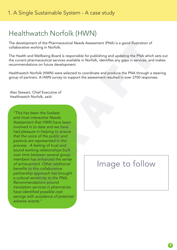### Healthwatch Norfolk (HWN)

The development of the Pharmaceutical Needs Assessment (PNA) is a good illustration of collaborative working in Norfolk.

The Health and Wellbeing Board is responsible for publishing and updating the PNA which sets out the current pharmaceutical services available in Norfolk, identifies any gaps in services, and makes recommendations on future development.

Healthwatch Norfolk (HWN) were selected to coordinate and produce the PNA through a steering group of partners. A HWN survey to support the assessment resulted in over 2700 responses.

Alex Stewart, Chief Executive of Healthwatch Norfolk, said:

*"This has been the liveliest and most interactive Needs Assessment that HWN have been involved in to date and we have had pleasure in helping to ensure that the voice of the public and patients are represented in this process. A feeling of trust and sound working relationships built over time between several group members has enhanced the sense of achievement. Other additional*  benefits to this collaborative *partnership approach has brought a cultural sensitivity to the PNA. Recommendations around translation services in pharmacies*  have identified possible cost *savings with avoidance of potential adverse events."* spenent of the Pharmaceutical Needs Assessment (PNA) is a good illustration of<br>
we working in Norfolk.<br>
an ad Wellbeing Board is responsible for publishing and updating the PNA which<br>
an ad Wellbeing Board is responsible f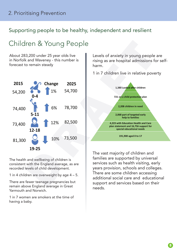### Supporting people to be healthy, independent and resilient

### Children & Young People

About 283,200 under 25 year olds live in Norfolk and Waveney - this number is forecast to remain steady



The health and wellbeing of children is consistent with the England average, as are recorded levels of child development.

1 in 4 children are overweight by age 4 – 5.

There are fewer teenage pregnancies but remain above England average in Great Yarmouth and Norwich.

1 in 7 women are smokers at the time of having a baby.

Levels of anxiety in young people are rising as are hospital admissions for selfharm.

1 in 7 children live in relative poverty



The vast majority of children and families are supported by universal services such as health visiting, early years provision, schools and colleges. There are some children accessing additional social care and educational support and services based on their needs.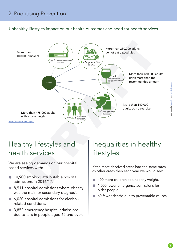Unhealthy lifestyles impact on our health outcomes and need for health services.



### Healthy lifestyles and health services

We are seeing demands on our hospital based services with:

- 10,900 smoking attributable hospital admissions in 2016/17.
- 8,911 hospital admissions where obesity was the main or secondary diagnosis.
- 6,020 hospital admissions for alcoholrelated conditions.
- 3,852 emergency hospital admissions due to falls in people aged 65 and over.

### Inequalities in healthy lifestyles

If the most deprived areas had the same rates as other areas then each year we would see:

- 400 more children at a healthy weight.
- **1,000 fewer emergency admissions for** older people.
- 60 fewer deaths due to preventable causes.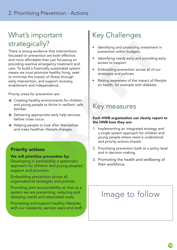### What's important strategically?

There is strong evidence that interventions focussed on prevention are both effective and more affordable than just focussing on providing reactive emergency treatment and care. To build a financially sustainable system means we must promote healthy living, seek to minimise the impact of illness through early intervention, and support recovery, enablement and independence. DRAFT

Priority areas for prevention are:

- Creating healthy environments for children and young people to thrive in resilient, safe families.
- Delivering appropriate early help services before crises occur.
- Helping people to look after themselves and make healthier lifestyle changes.

### Priority actions

### We will prioritise prevention by:

Developing in partnership a systematic approach for children and young peoples' support and provision.

Embedding prevention across all organisational strategies and policies.

Providing joint accountability so that as a system we are preventing, reducing and delaying needs and associated costs.

Promoting and support healthy lifestyles with our residents, service users and staff.

### Key Challenges

- Identifying and protecting investment in prevention within budgets.
- Identifying needs early and providing early access to support.
- Embedding prevention across all of our strategies and policies.
- Raising awareness of the impact of lifestyle on health, for example with diabetes

### Key measures

### Each HWB organisation can clearly report to the HWB how they are:

- 1. Implementing an integrated strategy and a single system approach for children and young people where need is understood and priority actions shared.
- 2. Prioritising prevention both at a policy level and in decision-making.
- 3. Promoting the health and wellbeing of their workforce.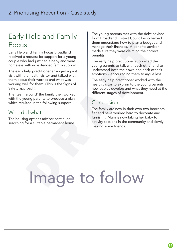### Early Help and Family Focus

Early Help and Family Focus Broadland received a request for support for a young couple who had just had a baby and were homeless with no extended family support.

The early help practitioner arranged a joint visit with the health visitor and talked with them about their worries and what was working well for them. (This is the Signs of Safety approach).

The 'team around' the family then worked with the young parents to produce a plan which resulted in the following support.

### Who did what

The housing options advisor continued searching for a suitable permanent home. The young parents met with the debt advisor from Broadland District Council who helped them understand how to plan a budget and manage their finances. A benefits advisor made sure they were claiming the correct benefits.

The early help practitioner supported the young parents to talk with each other and to understand both their own and each other's emotions – encouraging them to argue less.

The early help practitioner worked with the health visitor to explain to the young parents how babies develop and what they need at the different stages of development.

### Conclusion

The family are now in their own two bedroom flat and have worked hard to decorate and furnish it. Mum is now taking her baby to activity sessions in the community and slowly making some friends.

# Image to follow Band Family Focus Broadland<br>
and Family Focus Broadland<br>
made sure they menced the finances. A benefits advise<br>
request for support tor a young benefits.<br>
with no extended family support.<br>
The early help practitioner suppo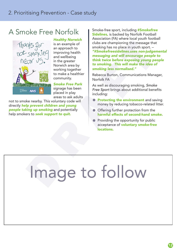### A Smoke Free Norfolk



*Healthy Norwich* is an example of an approach to improving health and wellbeing

in the greater Norwich area by working together to make a healthier community.

*Smoke Free Park* signage has been placed in play areas to ask adults

not to smoke nearby. This voluntary code will directly *help prevent children and young people taking up smoking* and potentially help smokers to *seek support to quit.*

Smoke-free sport, including #Smokefree Sidelines, is backed by Norfolk Football Association (FA) where local youth football clubs are championing the message that smoking has no place in youth sport. – *"#Smokefreesidelines.uses non-judgemental* 

*messaging and will encourage people to think twice before exposing young people to smoking. This will make the idea of smoking less normalised."*

Rebecca Burton, Communications Manager, Norfolk FA

As well as discouraging smoking, *Smoke Free Sport* brings about additional benefits including:

- **Protecting the environment** and saving money by reducing tobacco-related litter.
- Offering further protection from the harmful effects of second-hand smoke.
- Providing the opportunity for public acceptance of **voluntary smoke-free** locations.

# Image to follow White Substantian approach to the same properties of the substantian approximation of the same specified and will environmental that we before exposing people<br>
SMCK-119 improvime health ""Smoked resealing and will encourag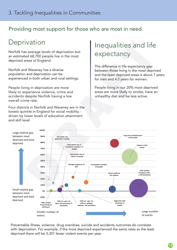### Providing most support for those who are most in need.

### **Deprivation**

Norfolk has average levels of deprivation but an estimated 68,700 people live in the most deprived areas of England.

Norfolk and Waveney has a diverse population and deprivation can be experienced in both urban and rural settings.

People living in deprivation are more likely to experience violence, crime and accidents despite Norfolk having a low overall crime rate.

Four districts in Norfolk and Waveney are in the lowest quintile in England for social mobility driven by lower levels of education attainment and skill level.

### Inequalities and life expectancy

The difference in life expectancy gap between those living in the most deprived and the least deprived areas is about 7 years for men and 4.5 years for women.

People living in our 20% most deprived areas are more likely to smoke, have an unhealthy diet and be less active.



Preventable illness, violence, drug overdose, suicide and accidents outcomes do correlate with deprivation. For example, if the most deprived experienced the same rates as the least deprived there will be 3,301 fewer violent events per year.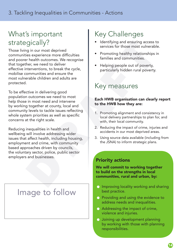### What's important strategically?

Those living in our most deprived communities experience more difficulties and poorer health outcomes. We recognise that together, we need to deliver effective interventions, to break the cycle, mobilise communities and ensure the most vulnerable children and adults are protected. Cally?<br>
Simplement and ensuing access of these experience more difficulties<br>
is experience more difficulties<br>
ther, we need to deliver<br>
it head to deliver<br>
the recognise<br>
the primatics and communities.<br>
Alternative in deli

To be effective in delivering good population outcomes we need to most help those in most need and intervene by working together at county, local and community levels to tackle issues reflecting whole system priorities as well as specific concerns at the right scale.

Reducing inequalities in health and wellbeing will involve addressing wider issues that affect health, including housing, employment and crime, with community based approaches driven by councils, the voluntary sector, police, public sector employers and businesses.

### Image to follow

### Key Challenges

- Identifying and ensuring access to services for those most vulnerable.
- Promoting healthy relationships in families and communities.
- Helping people out of poverty, particularly hidden rural poverty.

### Key measures

### Each HWB organisation can clearly report to the HWB how they are:

- 1. Promoting alignment and consistency in local delivery partnerships to plan for, and with, their local community.
- 2. Reducing the impact of crime, injuries and accidents in our most deprived areas.
- 3. Using source data available (including from the JSNA) to inform strategic plans.

### Priority actions

We will commit to working together to build on the strengths in local communities, rural and urban, by:

- **Improving locality working and sharing** best practice.
- **Providing and using the evidence to** address needs and inequalities.
- Addressing the impact of crime, violence and injuries.
- Joining up development planning by working with those with planning responsibilities.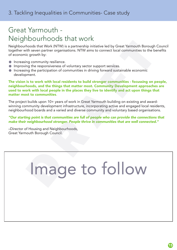### Great Yarmouth - Neighbourhoods that work

Neighbourhoods that Work (NTW) is a partnership initiative led by Great Yarmouth Borough Council together with seven partner organisations. NTW aims to connect local communities to the benefits of economic growth by:

- **Increasing community resilience.**
- **Improving the responsiveness of voluntary sector support services.**
- Increasing the participation of communities in driving forward sustainable economic development.

The vision is to work with local residents to build stronger communities - focussing on people, neighbourhoods, and the things that matter most. Community Development approaches are used to work with local people in the places they live to identify and act upon things that matter most to communities.

The project builds upon 10+ years of work in Great Yarmouth building on existing and awardwinning community development infrastructure, incorporating active and engaged local residents, neighbourhood boards and a varied and diverse community and voluntary based organisations.

### *"Our starting point is that communities are full of people who can provide the connections that make their neighbourhood stronger. People thrive in communities that are well connected."*

–Director of Housing and Neighbourhoods, Great Yarmouth Borough Council.

# Image to follow The Carrier of the share of the Carrier Capacitative Capacitative led by Great Yarmouth Borough<br>thoods that Work (NTW) is a partnership initiative led by Great Yarmouth Borough<br>ith seven partner organisations. NTW aims to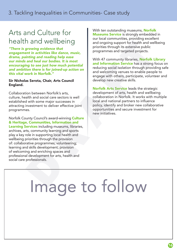### Arts and Culture for health and wellbeing

*"There is growing evidence that engagement in activities like dance, music, drama, painting and reading help ease our minds and heal our bodies. It is most encouraging to see just how much potential and ambition there is for joined-up action on this vital work in Norfolk."* 

### Sir Nicholas Serota, Chair, Arts Council England.

Collaboration between Norfolk's arts, culture, health and social care sectors is well established with some major successes in attracting investment to deliver effective joint programmes.

Norfolk County Council's award-winning Culture & Heritage, Communities, Information and Learning Services including museums, libraries, archives, arts, community learning and sports play a key role in supporting local health and wellbeing priorities through the provision of: collaborative programmes; volunteering; learning and skills development; provision of welcoming and enriching spaces and professional development for arts, health and social care professionals. The window and reading help exists and ongoing support for health and well<br>
int in activities like dance, music,<br>
interiming and reading help ease<br>
in the is transic,<br>
in the is most and heal our bodies. It is most<br>
in the

With ten outstanding museums, **Norfolk** Museums Service is strongly embedded in our local communities, providing excellent and ongoing support for health and wellbeing priorities through its extensive public programmes and targeted projects.

With 47 community libraries, **Norfolk Library** and Information Service has a strong focus on reducing social isolation through providing safe and welcoming venues to enable people to engage with others, participate, volunteer and develop new creative skills.

Norfolk Arts Service leads the strategic development of arts, health and wellbeing collaboration in Norfolk. It works with multiple local and national partners to influence policy, identify and broker new collaborative opportunities and secure investment for new initiatives.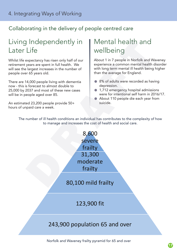### Collaborating in the delivery of people centred care

### Living Independently in Later Life

Whilst life expectancy has risen only half of our retirement years are spent in full health. We will see the largest increases in the number of people over 65 years old.

There are 14,000 people living with dementia now - this is forecast to almost double to 25,000 by 2037 and most of these new cases will be in people aged over 85.

An estimated 23,200 people provide 50+ hours of unpaid care a week.

### Mental health and wellbeing

About 1 in 7 people in Norfolk and Waveney experience a common mental health disorder with long term mental ill health being higher than the average for England.

- 8% of adults were recorded as having depression.
- 1,712 emergency hospital admissions were for intentional self harm in 2016/17.
- About 110 people die each year from suicide.

The number of ill health conditions an individual has contributes to the complexity of how to manage and increases the cost of health and social care.



Norfolk and Waveney frailty pyramid for 65 and over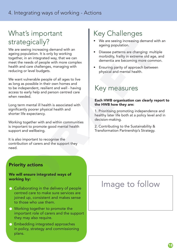### What's important strategically?

We are seeing increasing demand with an ageing population. It is only by working together, in an integrated way, that we can meet the needs of people with more complex health and care challenges, managing with reducing or level budgets. Cally?<br>
Some and with an an integrated way, that we can<br>
bulation. It is only by working<br>
an an integrated way, that we can<br>
bulation is the only by working<br>
an an integrated way, that we can<br>
dementia are becoming more co

We want vulnerable people of all ages to live as long as possible in their own homes and to be independent, resilient and well - having access to early help and person centred care when needed.

Long term mental ill health is associated with significantly poorer physical health and shorter life expectancy.

Working together with and within communities is important to promote good mental health support and wellbeing.

It is also important to recognise the contribution of carers and the support they need.

### Key Challenges

- We are seeing increasing demand with an ageing population.
- Disease patterns are changing: multiple morbidity, frailty in extreme old age, and dementia are becoming more common.
- Ensuring parity of approach between physical and mental health.

### Key measures

### Each HWB organisation can clearly report to the HWB how they are:

1. Prioritising promoting independence and healthy later life both at a policy level and in decision-making.

2. Contributing to the Sustainability & Transformation Partnership's Strategy.

### Priority actions

### We will ensure integrated ways of working by:

- Collaborating in the delivery of people centred care to make sure services are joined up, consistent and makes sense to those who use them.
- Working together to promote the important role of carers and the support they may also require.
- **Embedding integrated approaches** in policy, strategy and commissioning plans.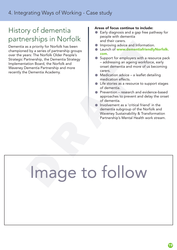### History of dementia partnerships in Norfolk

Dementia as a priority for Norfolk has been championed by a series of partnership groups over the years: The Norfolk Older People's Strategic Partnership, the Dementia Strategy Implementation Board, the Norfolk and Waveney Dementia Partnership and more recently the Dementia Academy.

### Areas of focus continue to include:

- Early diagnosis and a gap free pathway for people with dementia and their carers.
- **Improving advice and Information.**
- **Launch of www.dementiafriendlyNorfolk.** com.
- Support for employers with a resource pack – addressing an ageing workforce, early onset dementia and more of us becoming carers.
- Medication advice a leaflet detailing medication effects.
- Life stories as a resource to support stages of dementia.
- Prevention research and evidence-based approaches to prevent and delay the onset of dementia.
- Involvement as a 'critical friend' in the dementia subgroup of the Norfolk and Waveney Sustainability & Transformation Partnership's Mental Health work stream.

# Image to follow Example the Norfolk has been<br>
as a priority for Norfolk has been<br>
and the Norfolk Colore People's<br>
and the Norfolk Distribution of www.dementiafriendly<br>
action Board, the Dementia Strategy<br>
Dementia Partnership and more<br>
D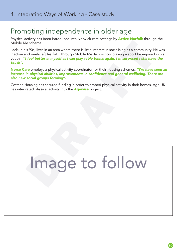### Promoting independence in older age

Physical activity has been introduced into Norwich care settings by **Active Norfolk** through the Mobile Me scheme.

Jack, in his 90s, lives in an area where there is little interest in socialising as a community. He was inactive and rarely left his flat. Through Mobile Me Jack is now playing a sport he enjoyed in his youth - *''I feel better in myself as I can play table tennis again. I'm surprised I still have the touch''.* the scheme.<br>
Sons, lives in an area where there is little interest in socialising as a community.<br>
In fear better in myself as I can play table tennis again. I'm surprised I still have<br>
the enloyes a physical activity coor

Norse Care employs a physical activity coordinator for their housing schemes. *"We have seen an*  increase in physical abilities, improvements in confidence and general wellbeing. There are *also new social groups forming".*

Cotman Housing has secured funding in order to embed physical activity in their homes. Age UK has integrated physical activity into the **Agewise** project.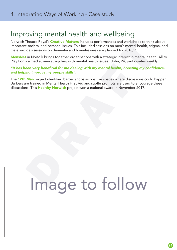### Improving mental health and wellbeing

Norwich Theatre Royal's **Creative Matters** includes performances and workshops to think about important societal and personal issues. This included sessions on men's mental health, stigma, and male suicide - sessions on dementia and homelessness are planned for 2018/9.

MensNet in Norfolk brings together organisations with a strategic interest in mental health. All to Play For is aimed at men struggling with mental health issues. John, 24, participates weekly:

### "It has been very beneficial for me dealing with my mental health, boosting my confidence, *and helping improve my people skills".*

The 12th Man project identified barber shops as positive spaces where discussions could happen. Barbers are trained in Mental Health First Aid and subtle prompts are used to encourage these discussions. This **Healthy Norwich** project won a national award in November 2017. Theatre Royal's Creative Matter is included sessions on men's mental health, stigntate and orchasing stores. This included sessions on men's mental health, stigntide - sessions on dementia and homelessness are planned for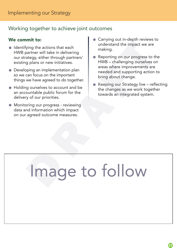### Working together to achieve joint outcomes

### We commit to:

- Identifying the actions that each HWB partner will take in delivering our strategy, either through partners' existing plans or new initiatives.
- Developing an implementation plan so we can focus on the important things we have agreed to do together.
- Holding ourselves to account and be an accountable public forum for the delivery of our priorities.
- Monitoring our progress reviewing data and information which impact on our agreed outcome measures.
- Carrying out in-depth reviews to understand the impact we are making.
- Reporting on our progress to the HWB – challenging ourselves on areas where improvements are needed and supporting action to bring about change.
- Keeping our Strategy live reflecting the changes as we work together towards an integrated system.

# Image to follow Figure the content of the content of the content of the independent of the independent of the material of plans or new initiatives.<br>
For a strengthe method of the independent of the independent of the increase where improv